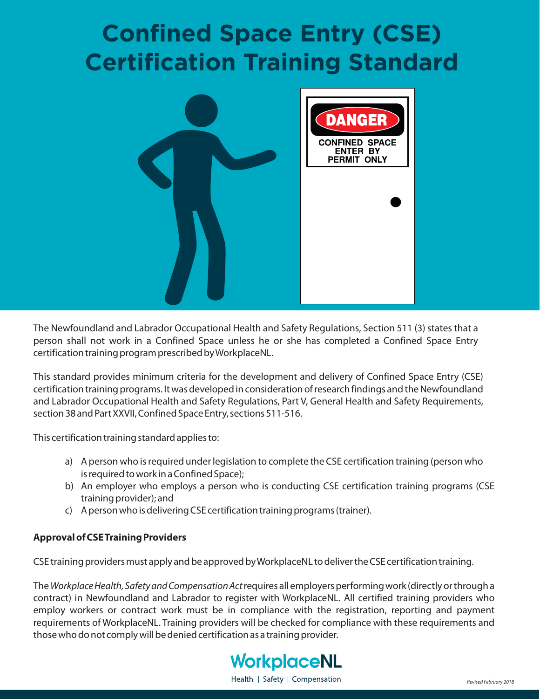# **Confined Space Entry (CSE) Certification Training Standard**



The Newfoundland and Labrador Occupational Health and Safety Regulations, Section 511 (3) states that a person shall not work in a Confined Space unless he or she has completed a Confined Space Entry certification training program prescribed byWorkplaceNL.

This standard provides minimum criteria for the development and delivery of Confined Space Entry (CSE) certification training programs. It was developed in consideration of research findings and the Newfoundland and Labrador Occupational Health and Safety Regulations, Part V, General Health and Safety Requirements, section 38 and Part XXVII, Confined Space Entry, sections 511-516.

This certification training standard applies to:

- a) A person who is required under legislation to complete the CSE certification training (person who is required to work in a Confined Space);
- b) An employer who employs a person who is conducting CSE certification training programs (CSE training provider); and
- c) A person who is delivering CSE certification training programs (trainer).

#### **Approval of CSETraining Providers**

CSE training providers must apply and be approved byWorkplaceNL to deliver the CSE certification training.

The *Workplace Health, Safety and Compensation Act* requires all employers performing work (directly or through a contract) in Newfoundland and Labrador to register with WorkplaceNL. All certified training providers who employ workers or contract work must be in compliance with the registration, reporting and payment requirements of WorkplaceNL. Training providers will be checked for compliance with these requirements and those who do not comply will be denied certification as a training provider.



Health | Safety | Compensation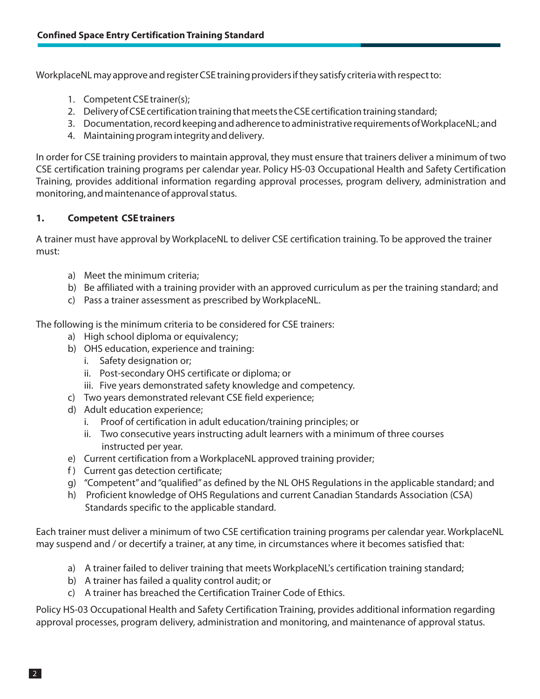WorkplaceNL may approve and register CSE training providers if they satisfy criteria with respect to:

- 1. Competent CSE trainer(s);
- 2. Delivery of CSE certification training that meets the CSE certification training standard;
- 3. Documentation, record keeping and adherence to administrative requirements ofWorkplaceNL; and
- 4. Maintaining program integrity and delivery.

In order for CSE training providers to maintain approval, they must ensure that trainers deliver a minimum of two CSE certification training programs per calendar year. Policy HS-03 Occupational Health and Safety Certification Training, provides additional information regarding approval processes, program delivery, administration and monitoring, and maintenance of approval status.

## **1. Competent CSE trainers**

A trainer must have approval by WorkplaceNL to deliver CSE certification training. To be approved the trainer must:

- a) Meet the minimum criteria;
- b) Be affiliated with a training provider with an approved curriculum as per the training standard; and
- c) Pass a trainer assessment as prescribed by WorkplaceNL.

The following is the minimum criteria to be considered for CSE trainers:

- a) High school diploma or equivalency;
- b) OHS education, experience and training:
	- i. Safety designation or;
	- ii. Post-secondary OHS certificate or diploma; or
	- iii. Five years demonstrated safety knowledge and competency.
- c) Two years demonstrated relevant CSE field experience;
- d) Adult education experience;
	- i. Proof of certification in adult education/training principles; or
	- ii. Two consecutive years instructing adult learners with a minimum of three courses instructed per year.
- e) Current certification from a WorkplaceNL approved training provider;
- f) Current gas detection certificate;
- g) "Competent" and "qualified" as defined by the NL OHS Regulations in the applicable standard; and
- h) Proficient knowledge of OHS Regulations and current Canadian Standards Association (CSA) Standards specific to the applicable standard.

Each trainer must deliver a minimum of two CSE certification training programs per calendar year. WorkplaceNL may suspend and / or decertify a trainer, at any time, in circumstances where it becomes satisfied that:

- a) A trainer failed to deliver training that meets WorkplaceNL's certification training standard;
- b) A trainer has failed a quality control audit; or
- c) A trainer has breached the Certification Trainer Code of Ethics.

Policy HS-03 Occupational Health and Safety Certification Training, provides additional information regarding approval processes, program delivery, administration and monitoring, and maintenance of approval status.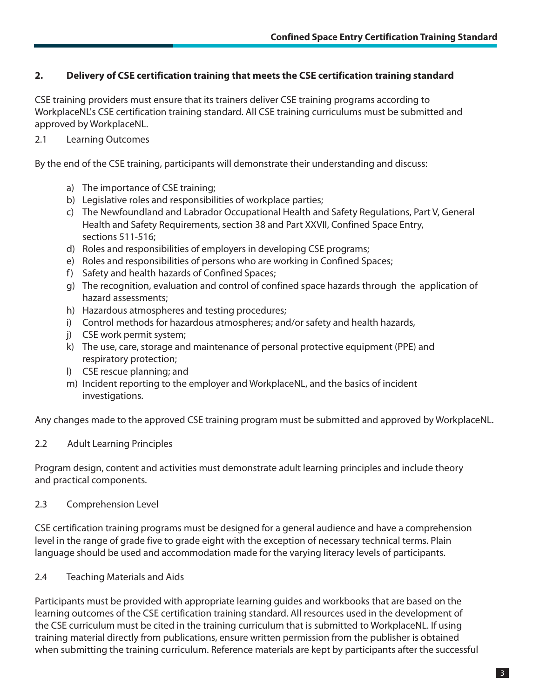# 2. Delivery of CSE certification training that meets the CSE certification training standard

CSE training providers must ensure that its trainers deliver CSE training programs according to WorkplaceNL's CSE certification training standard. All CSE training curriculums must be submitted and approved by WorkplaceNL.

2.1 Learning Outcomes

By the end of the CSE training, participants will demonstrate their understanding and discuss:

- a) The importance of CSE training;
- b) Legislative roles and responsibilities of workplace parties;
- c) The Newfoundland and Labrador Occupational Health and Safety Regulations, Part V, General Health and Safety Requirements, section 38 and Part XXVII, Confined Space Entry, sections 511-516;
- d) Roles and responsibilities of employers in developing CSE programs;
- e) Roles and responsibilities of persons who are working in Confined Spaces;
- f) Safety and health hazards of Confined Spaces;
- g) The recognition, evaluation and control of confined space hazards through the application of hazard assessments;
- h) Hazardous atmospheres and testing procedures;
- i) Control methods for hazardous atmospheres; and/or safety and health hazards,
- j) CSE work permit system;
- k) The use, care, storage and maintenance of personal protective equipment (PPE) and respiratory protection;
- l) CSE rescue planning; and
- m) Incident reporting to the employer and WorkplaceNL, and the basics of incident investigations.

Any changes made to the approved CSE training program must be submitted and approved by WorkplaceNL.

## 2.2 Adult Learning Principles

Program design, content and activities must demonstrate adult learning principles and include theory and practical components.

#### 2.3 Comprehension Level

CSE certification training programs must be designed for a general audience and have a comprehension level in the range of grade five to grade eight with the exception of necessary technical terms. Plain language should be used and accommodation made for the varying literacy levels of participants.

#### 2.4 Teaching Materials and Aids

Participants must be provided with appropriate learning guides and workbooks that are based on the learning outcomes of the CSE certification training standard. All resources used in the development of the CSE curriculum must be cited in the training curriculum that is submitted to WorkplaceNL. If using training material directly from publications, ensure written permission from the publisher is obtained when submitting the training curriculum. Reference materials are kept by participants after the successful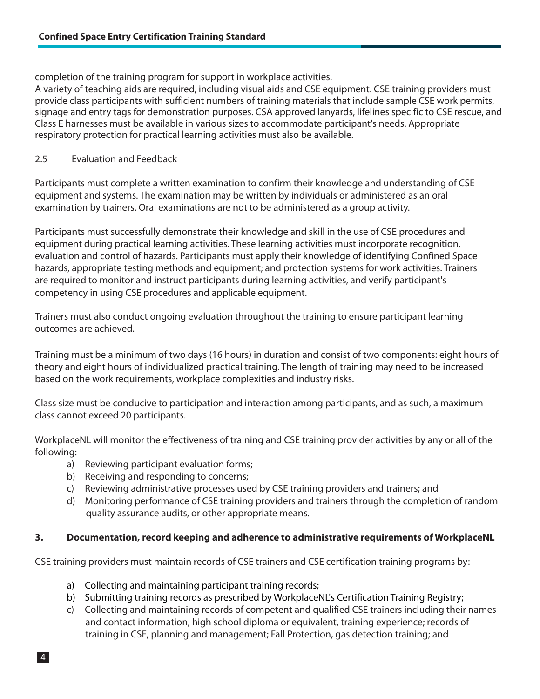completion of the training program for support in workplace activities.

A variety of teaching aids are required, including visual aids and CSE equipment. CSE training providers must provide class participants with sufficient numbers of training materials that include sample CSE work permits, signage and entry tags for demonstration purposes. CSA approved lanyards, lifelines specific to CSE rescue, and Class E harnesses must be available in various sizes to accommodate participant's needs. Appropriate respiratory protection for practical learning activities must also be available.

## 2.5 Evaluation and Feedback

Participants must complete a written examination to confirm their knowledge and understanding of CSE equipment and systems. The examination may be written by individuals or administered as an oral examination by trainers. Oral examinations are not to be administered as a group activity.

Participants must successfully demonstrate their knowledge and skill in the use of CSE procedures and equipment during practical learning activities. These learning activities must incorporate recognition, evaluation and control of hazards. Participants must apply their knowledge of identifying Confined Space hazards, appropriate testing methods and equipment; and protection systems for work activities. Trainers are required to monitor and instruct participants during learning activities, and verify participant's competency in using CSE procedures and applicable equipment.

Trainers must also conduct ongoing evaluation throughout the training to ensure participant learning outcomes are achieved.

Training must be a minimum of two days (16 hours) in duration and consist of two components: eight hours of theory and eight hours of individualized practical training. The length of training may need to be increased based on the work requirements, workplace complexities and industry risks.

Class size must be conducive to participation and interaction among participants, and as such, a maximum class cannot exceed 20 participants.

WorkplaceNL will monitor the effectiveness of training and CSE training provider activities by any or all of the following:

- a) Reviewing participant evaluation forms;
- b) Receiving and responding to concerns;
- c) Reviewing administrative processes used by CSE training providers and trainers; and
- d) Monitoring performance of CSE training providers and trainers through the completion of random quality assurance audits, or other appropriate means.

## **3. Documentation, record keeping and adherence to administrative requirements of WorkplaceNL**

CSE training providers must maintain records of CSE trainers and CSE certification training programs by:

- a) Collecting and maintaining participant training records;
- b) Submitting training records as prescribed by WorkplaceNL's Certification Training Registry;
- c) Collecting and maintaining records of competent and qualified CSE trainers including their names and contact information, high school diploma or equivalent, training experience; records of training in CSE, planning and management; Fall Protection, gas detection training; and